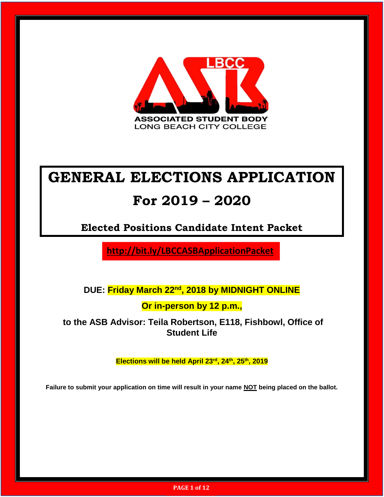

### **GENERAL ELECTIONS APPLICATION**

### **For 2019 – 2020**

**Elected Positions Candidate Intent Packet**

**http://bit.ly/LBCCASBApplicationPacket**

**DUE: Friday March 22 nd, 2018 by MIDNIGHT ONLINE**

**Or in-person by 12 p.m.,**

**to the ASB Advisor: Teila Robertson, E118, Fishbowl, Office of Student Life**

**Elections will be held April 23rd, 24th, 25th, 2019**

**Failure to submit your application on time will result in your name NOT being placed on the ballot.**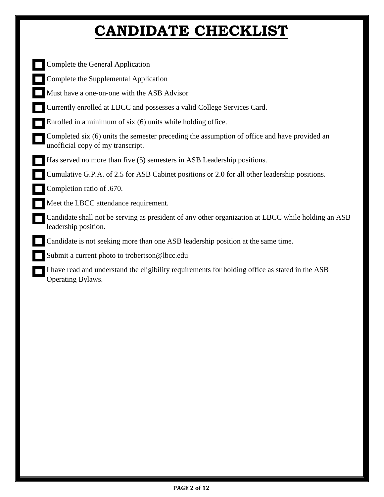# **CANDIDATE CHECKLIST**

| Complete the General Application                                                                                                  |
|-----------------------------------------------------------------------------------------------------------------------------------|
| Complete the Supplemental Application                                                                                             |
| Must have a one-on-one with the ASB Advisor                                                                                       |
| Currently enrolled at LBCC and possesses a valid College Services Card.                                                           |
| Enrolled in a minimum of six (6) units while holding office.                                                                      |
| Completed six (6) units the semester preceding the assumption of office and have provided an<br>unofficial copy of my transcript. |
| Has served no more than five (5) semesters in ASB Leadership positions.                                                           |
| Cumulative G.P.A. of 2.5 for ASB Cabinet positions or 2.0 for all other leadership positions.                                     |
| Completion ratio of .670.                                                                                                         |
| Meet the LBCC attendance requirement.                                                                                             |
| Candidate shall not be serving as president of any other organization at LBCC while holding an ASB<br>leadership position.        |
| Candidate is not seeking more than one ASB leadership position at the same time.                                                  |
| Submit a current photo to trobertson@lbcc.edu                                                                                     |
| I have read and understand the eligibility requirements for holding office as stated in the ASB<br><b>Operating Bylaws.</b>       |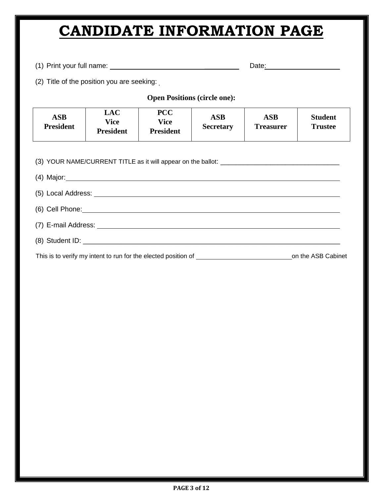## **CANDIDATE INFORMATION PAGE**

(1) Print your full name: \_\_\_\_\_\_\_\_\_ Date:

(2) Title of the position you are seeking:

**Open Positions (circle one):**

| <b>ASB</b><br><b>President</b> | LAC<br>Vice<br><b>President</b> | <b>PCC</b><br>Vice<br><b>President</b> | <b>ASB</b><br><b>Secretary</b> | ASB<br><b>Treasurer</b> | <b>Student</b><br><b>Trustee</b> |
|--------------------------------|---------------------------------|----------------------------------------|--------------------------------|-------------------------|----------------------------------|
|--------------------------------|---------------------------------|----------------------------------------|--------------------------------|-------------------------|----------------------------------|

(3) YOUR NAME/CURRENT TITLE as it will appear on the ballot: \_\_\_\_\_\_\_\_\_\_\_\_\_\_\_\_\_\_\_\_\_\_\_\_\_\_\_\_\_\_\_

| This is to verify my intent to run for the elected position of | on the ASB Cabinet |
|----------------------------------------------------------------|--------------------|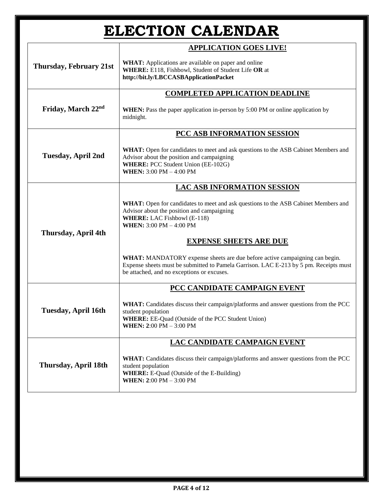| <b>ELECTION CALENDAR</b>           |                                                                                                                                                                                                                                          |  |  |
|------------------------------------|------------------------------------------------------------------------------------------------------------------------------------------------------------------------------------------------------------------------------------------|--|--|
|                                    | <b>APPLICATION GOES LIVE!</b>                                                                                                                                                                                                            |  |  |
| <b>Thursday, February 21st</b>     | <b>WHAT:</b> Applications are available on paper and online<br>WHERE: E118, Fishbowl, Student of Student Life OR at<br>http://bit.ly/LBCCASBApplicationPacket                                                                            |  |  |
|                                    | <b>COMPLETED APPLICATION DEADLINE</b>                                                                                                                                                                                                    |  |  |
| Friday, March 22nd                 | <b>WHEN:</b> Pass the paper application in-person by 5:00 PM or online application by<br>midnight.                                                                                                                                       |  |  |
|                                    | PCC ASB INFORMATION SESSION                                                                                                                                                                                                              |  |  |
| <b>Tuesday, April 2nd</b>          | <b>WHAT:</b> Open for candidates to meet and ask questions to the ASB Cabinet Members and<br>Advisor about the position and campaigning<br><b>WHERE: PCC Student Union (EE-102G)</b><br><b>WHEN:</b> $3:00 \text{ PM} - 4:00 \text{ PM}$ |  |  |
| <b>LAC ASB INFORMATION SESSION</b> |                                                                                                                                                                                                                                          |  |  |
|                                    | WHAT: Open for candidates to meet and ask questions to the ASB Cabinet Members and<br>Advisor about the position and campaigning<br><b>WHERE:</b> LAC Fishbowl (E-118)<br><b>WHEN:</b> $3:00 \text{ PM} - 4:00 \text{ PM}$               |  |  |
| Thursday, April 4th                | <b>EXPENSE SHEETS ARE DUE</b>                                                                                                                                                                                                            |  |  |
|                                    | WHAT: MANDATORY expense sheets are due before active campaigning can begin.<br>Expense sheets must be submitted to Pamela Garrison. LAC E-213 by 5 pm. Receipts must<br>be attached, and no exceptions or excuses.                       |  |  |
|                                    | PCC CANDIDATE CAMPAIGN EVENT                                                                                                                                                                                                             |  |  |
| <b>Tuesday, April 16th</b>         | WHAT: Candidates discuss their campaign/platforms and answer questions from the PCC<br>student population<br>WHERE: EE-Quad (Outside of the PCC Student Union)<br>WHEN: 2:00 PM - 3:00 PM                                                |  |  |
|                                    | LAC CANDIDATE CAMPAIGN EVENT                                                                                                                                                                                                             |  |  |
| Thursday, April 18th               | <b>WHAT:</b> Candidates discuss their campaign/platforms and answer questions from the PCC<br>student population<br><b>WHERE:</b> E-Quad (Outside of the E-Building)<br><b>WHEN: 2:00 PM - 3:00 PM</b>                                   |  |  |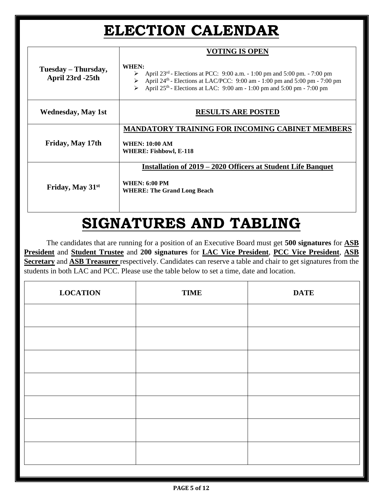## **ELECTION CALENDAR**

|                                         | <b>VOTING IS OPEN</b>                                                                                                                                                                                                                                    |
|-----------------------------------------|----------------------------------------------------------------------------------------------------------------------------------------------------------------------------------------------------------------------------------------------------------|
| Tuesday – Thursday,<br>April 23rd -25th | WHEN:<br>April $23^{rd}$ - Elections at PCC: 9:00 a.m. - 1:00 pm and 5:00 pm. - 7:00 pm<br>April $24th$ - Elections at LAC/PCC: 9:00 am - 1:00 pm and 5:00 pm - 7:00 pm<br>➤<br>April $25th$ - Elections at LAC: 9:00 am - 1:00 pm and 5:00 pm - 7:00 pm |
| <b>Wednesday, May 1st</b>               | <b>RESULTS ARE POSTED</b>                                                                                                                                                                                                                                |
| Friday, May 17th                        | <b>MANDATORY TRAINING FOR INCOMING CABINET MEMBERS</b><br><b>WHEN: 10:00 AM</b><br><b>WHERE: Fishbowl, E-118</b>                                                                                                                                         |
| Friday, May 31 <sup>st</sup>            | Installation of 2019 – 2020 Officers at Student Life Banquet<br><b>WHEN: 6:00 PM</b><br><b>WHERE: The Grand Long Beach</b>                                                                                                                               |

## **SIGNATURES AND TABLING**

The candidates that are running for a position of an Executive Board must get **500 signatures** for **ASB President** and **Student Trustee** and **200 signatures** for **LAC Vice President**, **PCC Vice President**, **ASB Secretary** and **ASB Treasurer** respectively. Candidates can reserve a table and chair to get signatures from the students in both LAC and PCC. Please use the table below to set a time, date and location.

| <b>LOCATION</b> | <b>TIME</b> | <b>DATE</b> |
|-----------------|-------------|-------------|
|                 |             |             |
|                 |             |             |
|                 |             |             |
|                 |             |             |
|                 |             |             |
|                 |             |             |
|                 |             |             |
|                 |             |             |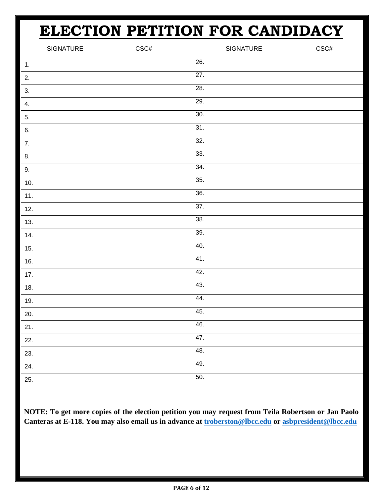# **ELECTION PETITION FOR CANDIDACY**

|       | SIGNATURE | $\mathsf{CSC\#}$ |     | SIGNATURE | $\mathsf{CSC\#}$ |
|-------|-----------|------------------|-----|-----------|------------------|
| 1.    |           |                  | 26. |           |                  |
| 2.    |           |                  | 27. |           |                  |
| 3.    |           |                  | 28. |           |                  |
| 4.    |           |                  | 29. |           |                  |
| 5.    |           |                  | 30. |           |                  |
| 6.    |           |                  | 31. |           |                  |
| 7.    |           |                  | 32. |           |                  |
| 8.    |           |                  | 33. |           |                  |
| 9.    |           |                  | 34. |           |                  |
| $10.$ |           |                  | 35. |           |                  |
| 11.   |           |                  | 36. |           |                  |
| 12.   |           |                  | 37. |           |                  |
| 13.   |           |                  | 38. |           |                  |
| 14.   |           |                  | 39. |           |                  |
| 15.   |           |                  | 40. |           |                  |
| 16.   |           |                  | 41. |           |                  |
| $17.$ |           |                  | 42. |           |                  |
| 18.   |           |                  | 43. |           |                  |
| 19.   |           |                  | 44. |           |                  |
| 20.   |           |                  | 45. |           |                  |
| 21.   |           |                  | 46. |           |                  |
| 22.   |           |                  | 47. |           |                  |
| 23.   |           |                  | 48. |           |                  |
| 24.   |           |                  | 49. |           |                  |
| 25.   |           |                  | 50. |           |                  |

**NOTE: To get more copies of the election petition you may request from Teila Robertson or Jan Paolo Canteras at E-118. You may also email us in advance at [troberston@lbcc.edu](mailto:troberston@lbcc.edu) or [asbpresident@lbcc.edu](mailto:asbpresident@lbcc.edu)**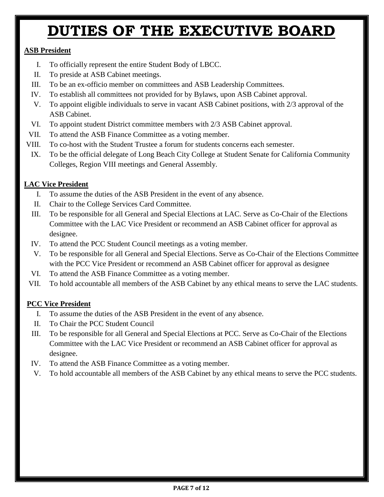### **DUTIES OF THE EXECUTIVE BOARD**

### **ASB President**

- I. To officially represent the entire Student Body of LBCC.
- II. To preside at ASB Cabinet meetings.
- III. To be an ex-officio member on committees and ASB Leadership Committees.
- IV. To establish all committees not provided for by Bylaws, upon ASB Cabinet approval.
- V. To appoint eligible individuals to serve in vacant ASB Cabinet positions, with 2/3 approval of the ASB Cabinet.
- VI. To appoint student District committee members with 2/3 ASB Cabinet approval.
- VII. To attend the ASB Finance Committee as a voting member.
- VIII. To co-host with the Student Trustee a forum for students concerns each semester.
- IX. To be the official delegate of Long Beach City College at Student Senate for California Community Colleges, Region VIII meetings and General Assembly.

### **LAC Vice President**

- I. To assume the duties of the ASB President in the event of any absence.
- II. Chair to the College Services Card Committee.
- III. To be responsible for all General and Special Elections at LAC. Serve as Co-Chair of the Elections Committee with the LAC Vice President or recommend an ASB Cabinet officer for approval as designee.
- IV. To attend the PCC Student Council meetings as a voting member.
- V. To be responsible for all General and Special Elections. Serve as Co-Chair of the Elections Committee with the PCC Vice President or recommend an ASB Cabinet officer for approval as designee
- VI. To attend the ASB Finance Committee as a voting member.
- VII. To hold accountable all members of the ASB Cabinet by any ethical means to serve the LAC students.

### **PCC Vice President**

- I. To assume the duties of the ASB President in the event of any absence.
- II. To Chair the PCC Student Council
- III. To be responsible for all General and Special Elections at PCC. Serve as Co-Chair of the Elections Committee with the LAC Vice President or recommend an ASB Cabinet officer for approval as designee.
- IV. To attend the ASB Finance Committee as a voting member.
- V. To hold accountable all members of the ASB Cabinet by any ethical means to serve the PCC students.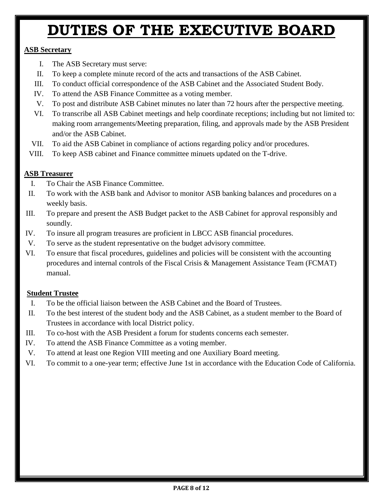## **DUTIES OF THE EXECUTIVE BOARD**

### **ASB Secretary**

- I. The ASB Secretary must serve:
- II. To keep a complete minute record of the acts and transactions of the ASB Cabinet.
- III. To conduct official correspondence of the ASB Cabinet and the Associated Student Body.
- IV. To attend the ASB Finance Committee as a voting member.
- V. To post and distribute ASB Cabinet minutes no later than 72 hours after the perspective meeting.
- VI. To transcribe all ASB Cabinet meetings and help coordinate receptions; including but not limited to: making room arrangements/Meeting preparation, filing, and approvals made by the ASB President and/or the ASB Cabinet.
- VII. To aid the ASB Cabinet in compliance of actions regarding policy and/or procedures.
- VIII. To keep ASB cabinet and Finance committee minuets updated on the T-drive.

### **ASB Treasurer**

- I. To Chair the ASB Finance Committee.
- II. To work with the ASB bank and Advisor to monitor ASB banking balances and procedures on a weekly basis.
- III. To prepare and present the ASB Budget packet to the ASB Cabinet for approval responsibly and soundly.
- IV. To insure all program treasures are proficient in LBCC ASB financial procedures.
- V. To serve as the student representative on the budget advisory committee.
- VI. To ensure that fiscal procedures, guidelines and policies will be consistent with the accounting procedures and internal controls of the Fiscal Crisis & Management Assistance Team (FCMAT) manual.

### **Student Trustee**

- I. To be the official liaison between the ASB Cabinet and the Board of Trustees.
- II. To the best interest of the student body and the ASB Cabinet, as a student member to the Board of Trustees in accordance with local District policy.
- III. To co-host with the ASB President a forum for students concerns each semester.
- IV. To attend the ASB Finance Committee as a voting member.
- V. To attend at least one Region VIII meeting and one Auxiliary Board meeting.
- VI. To commit to a one-year term; effective June 1st in accordance with the Education Code of California.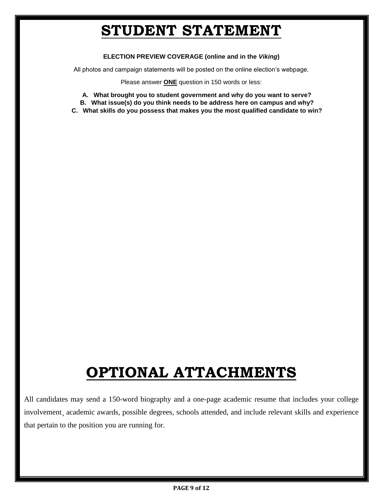### **STUDENT STATEMENT**

#### **ELECTION PREVIEW COVERAGE (online and in the** *Viking***)**

All photos and campaign statements will be posted on the online election's webpage.

Please answer **ONE** question in 150 words or less:

- **A. What brought you to student government and why do you want to serve?**
- **B. What issue(s) do you think needs to be address here on campus and why?**
- **C. What skills do you possess that makes you the most qualified candidate to win?**

# **OPTIONAL ATTACHMENTS**

All candidates may send a 150-word biography and a one-page academic resume that includes your college involvement, academic awards, possible degrees, schools attended, and include relevant skills and experience that pertain to the position you are running for.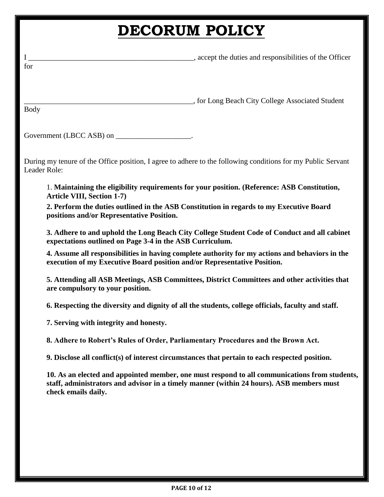## **DECORUM POLICY**

| I<br>for            | accept the duties and responsibilities of the Officer                                                                                                                                                                                                                                                                                                                                                                                                                                                                                                                                                                                                                                                                                                                                                                                                                                                                                                                                                                                                                                                                                                                                                                                                                                       |
|---------------------|---------------------------------------------------------------------------------------------------------------------------------------------------------------------------------------------------------------------------------------------------------------------------------------------------------------------------------------------------------------------------------------------------------------------------------------------------------------------------------------------------------------------------------------------------------------------------------------------------------------------------------------------------------------------------------------------------------------------------------------------------------------------------------------------------------------------------------------------------------------------------------------------------------------------------------------------------------------------------------------------------------------------------------------------------------------------------------------------------------------------------------------------------------------------------------------------------------------------------------------------------------------------------------------------|
| Body                |                                                                                                                                                                                                                                                                                                                                                                                                                                                                                                                                                                                                                                                                                                                                                                                                                                                                                                                                                                                                                                                                                                                                                                                                                                                                                             |
|                     | Government (LBCC ASB) on ______________________.                                                                                                                                                                                                                                                                                                                                                                                                                                                                                                                                                                                                                                                                                                                                                                                                                                                                                                                                                                                                                                                                                                                                                                                                                                            |
| Leader Role:        | During my tenure of the Office position, I agree to adhere to the following conditions for my Public Servant                                                                                                                                                                                                                                                                                                                                                                                                                                                                                                                                                                                                                                                                                                                                                                                                                                                                                                                                                                                                                                                                                                                                                                                |
| check emails daily. | 1. Maintaining the eligibility requirements for your position. (Reference: ASB Constitution,<br><b>Article VIII, Section 1-7)</b><br>2. Perform the duties outlined in the ASB Constitution in regards to my Executive Board<br>positions and/or Representative Position.<br>3. Adhere to and uphold the Long Beach City College Student Code of Conduct and all cabinet<br>expectations outlined on Page 3-4 in the ASB Curriculum.<br>4. Assume all responsibilities in having complete authority for my actions and behaviors in the<br>execution of my Executive Board position and/or Representative Position.<br>5. Attending all ASB Meetings, ASB Committees, District Committees and other activities that<br>are compulsory to your position.<br>6. Respecting the diversity and dignity of all the students, college officials, faculty and staff.<br>7. Serving with integrity and honesty.<br>8. Adhere to Robert's Rules of Order, Parliamentary Procedures and the Brown Act.<br>9. Disclose all conflict(s) of interest circumstances that pertain to each respected position.<br>10. As an elected and appointed member, one must respond to all communications from students,<br>staff, administrators and advisor in a timely manner (within 24 hours). ASB members must |
|                     |                                                                                                                                                                                                                                                                                                                                                                                                                                                                                                                                                                                                                                                                                                                                                                                                                                                                                                                                                                                                                                                                                                                                                                                                                                                                                             |
|                     |                                                                                                                                                                                                                                                                                                                                                                                                                                                                                                                                                                                                                                                                                                                                                                                                                                                                                                                                                                                                                                                                                                                                                                                                                                                                                             |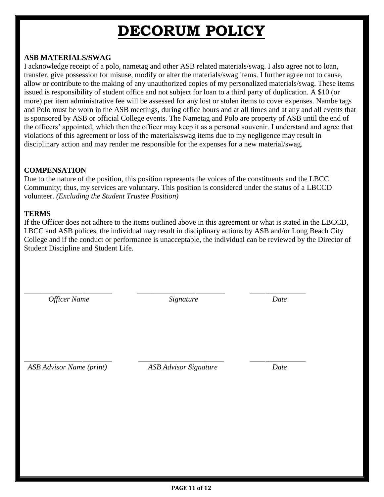## **DECORUM POLICY**

### **ASB MATERIALS/SWAG**

I acknowledge receipt of a polo, nametag and other ASB related materials/swag. I also agree not to loan, transfer, give possession for misuse, modify or alter the materials/swag items. I further agree not to cause, allow or contribute to the making of any unauthorized copies of my personalized materials/swag. These items issued is responsibility of student office and not subject for loan to a third party of duplication. A \$10 (or more) per item administrative fee will be assessed for any lost or stolen items to cover expenses. Nambe tags and Polo must be worn in the ASB meetings, during office hours and at all times and at any and all events that is sponsored by ASB or official College events. The Nametag and Polo are property of ASB until the end of the officers' appointed, which then the officer may keep it as a personal souvenir. I understand and agree that violations of this agreement or loss of the materials/swag items due to my negligence may result in disciplinary action and may render me responsible for the expenses for a new material/swag.

#### **COMPENSATION**

Due to the nature of the position, this position represents the voices of the constituents and the LBCC Community; thus, my services are voluntary. This position is considered under the status of a LBCCD volunteer. *(Excluding the Student Trustee Position)* 

#### **TERMS**

If the Officer does not adhere to the items outlined above in this agreement or what is stated in the LBCCD, LBCC and ASB polices, the individual may result in disciplinary actions by ASB and/or Long Beach City College and if the conduct or performance is unacceptable, the individual can be reviewed by the Director of Student Discipline and Student Life.

 *Officer Name Signature Date* 

\_\_\_\_\_\_\_\_\_\_\_\_\_\_\_\_\_\_\_\_\_\_\_\_\_\_\_\_\_\_\_\_\_ \_\_\_\_\_\_\_\_\_\_\_\_\_\_\_\_\_\_\_\_\_\_\_\_\_\_\_\_\_\_\_\_\_ \_\_\_\_\_\_\_\_\_\_\_\_\_\_\_\_\_\_\_\_\_

 *ASB Advisor Name (print) ASB Advisor Signature Date*

\_\_\_\_\_\_\_\_\_\_\_\_\_\_\_\_\_\_\_\_\_\_\_\_\_\_\_\_\_\_\_\_\_ \_\_\_\_\_\_\_\_\_\_\_\_\_\_\_\_\_\_\_\_\_\_\_\_\_\_\_\_\_\_\_\_ \_\_\_\_\_\_\_\_\_\_\_\_\_\_\_\_\_\_\_\_\_